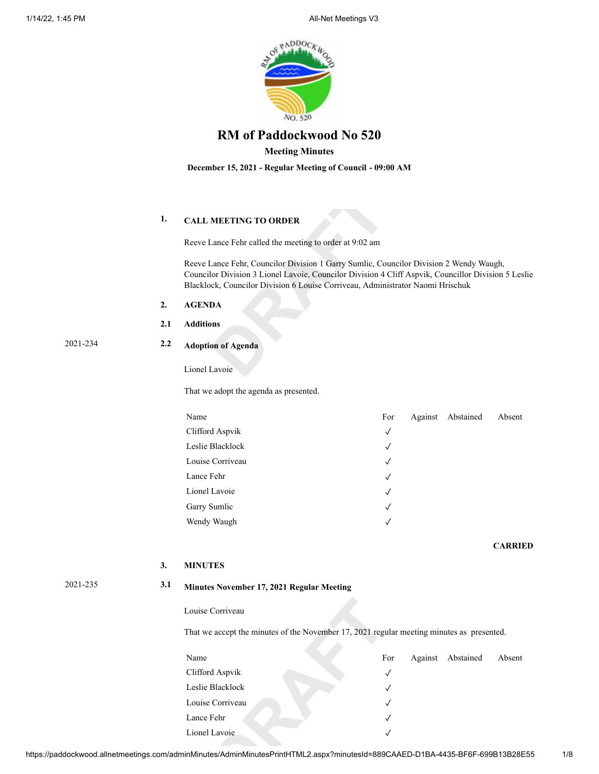

# **Meeting Minutes**

**December 15, 2021 - Regular Meeting of Council - 09:00 AM**

# **1. CALL MEETING TO ORDER**

Reeve Lance Fehr called the meeting to order at 9:02 am

Reeve Lance Fehr, Councilor Division 1 Garry Sumlic, Councilor Division 2 Wendy Waugh, Councilor Division 3 Lionel Lavoie, Councilor Division 4 Cliff Aspvik, Councillor Division 5 Leslie Blacklock, Councilor Division 6 Louise Corriveau, Administrator Naomi Hrischuk

- **2. AGENDA**
- **2.1 Additions**

# 2021-234 **2.2 Adoption of Agenda**

Lionel Lavoie

That we adopt the agenda as presented.

| Name             | For          | Against Abstained | Absent |
|------------------|--------------|-------------------|--------|
| Clifford Aspvik  | $\checkmark$ |                   |        |
| Leslie Blacklock | $\checkmark$ |                   |        |
| Louise Corriveau | $\checkmark$ |                   |        |
| Lance Fehr       | $\sqrt{ }$   |                   |        |
| Lionel Lavoie    | $\sqrt{ }$   |                   |        |
| Garry Sumlic     | $\checkmark$ |                   |        |
| Wendy Waugh      | $\sqrt{ }$   |                   |        |

**CARRIED**

### **3. MINUTES**

# 2021-235 **3.1 Minutes November 17, 2021 Regular Meeting**

Louise Corriveau

That we accept the minutes of the November 17, 2021 regular meeting minutes as presented.

| Name             | For          | Against Abstained | Absent |
|------------------|--------------|-------------------|--------|
| Clifford Aspvik  | $\checkmark$ |                   |        |
| Leslie Blacklock |              |                   |        |
| Louise Corriveau |              |                   |        |
| Lance Fehr       |              |                   |        |
| Lionel Lavoie    |              |                   |        |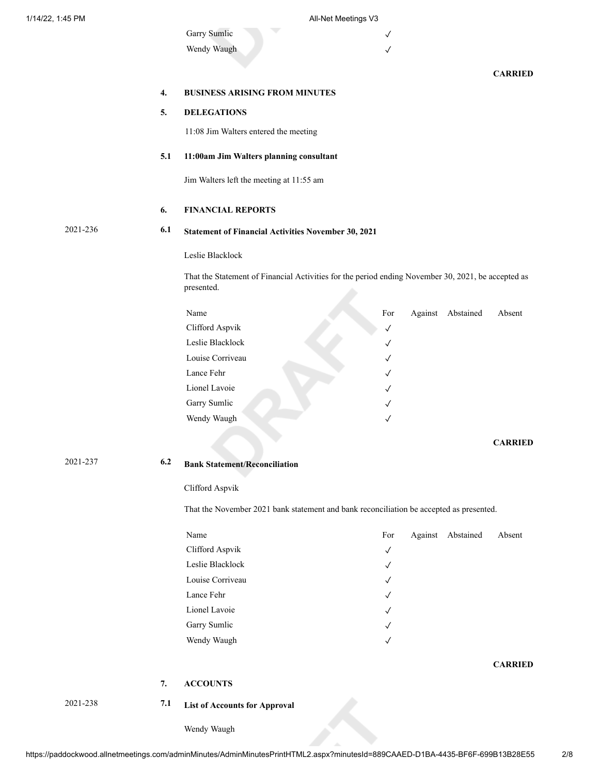| Garry Sumlic |  |
|--------------|--|
| Wendy Waugh  |  |

## **CARRIED**

| <b>BUSINESS ARISING FROM MINUTES</b> |  |  |
|--------------------------------------|--|--|
|                                      |  |  |

# **5. DELEGATIONS**

11:08 Jim Walters entered the meeting

## **5.1 11:00am Jim Walters planning consultant**

Jim Walters left the meeting at 11:55 am

## **6. FINANCIAL REPORTS**

# 2021-236 **6.1 Statement of Financial Activities November 30, 2021**

Leslie Blacklock

That the Statement of Financial Activities for the period ending November 30, 2021, be accepted as presented.

| Name             | For          | Against | Abstained | Absent |
|------------------|--------------|---------|-----------|--------|
| Clifford Aspvik  | $\checkmark$ |         |           |        |
| Leslie Blacklock | $\checkmark$ |         |           |        |
| Louise Corriveau | $\checkmark$ |         |           |        |
| Lance Fehr       | $\checkmark$ |         |           |        |
| Lionel Lavoie    | $\sqrt{ }$   |         |           |        |
| Garry Sumlic     | $\checkmark$ |         |           |        |
| Wendy Waugh      |              |         |           |        |

**CARRIED**

**CARRIED**

# 2021-237 **6.2 Bank Statement/Reconciliation**

### Clifford Aspvik

That the November 2021 bank statement and bank reconciliation be accepted as presented.

| Name             | For          | Against Abstained | Absent |
|------------------|--------------|-------------------|--------|
| Clifford Aspvik  | $\checkmark$ |                   |        |
| Leslie Blacklock | $\sqrt{ }$   |                   |        |
| Louise Corriveau | $\checkmark$ |                   |        |
| Lance Fehr       | $\sqrt{ }$   |                   |        |
| Lionel Lavoie    | $\checkmark$ |                   |        |
| Garry Sumlic     | $\sqrt{ }$   |                   |        |
| Wendy Waugh      | $\sqrt{ }$   |                   |        |
|                  |              |                   |        |

**7. ACCOUNTS**

- 
- 2021-238 **7.1 List of Accounts for Approval**

Wendy Waugh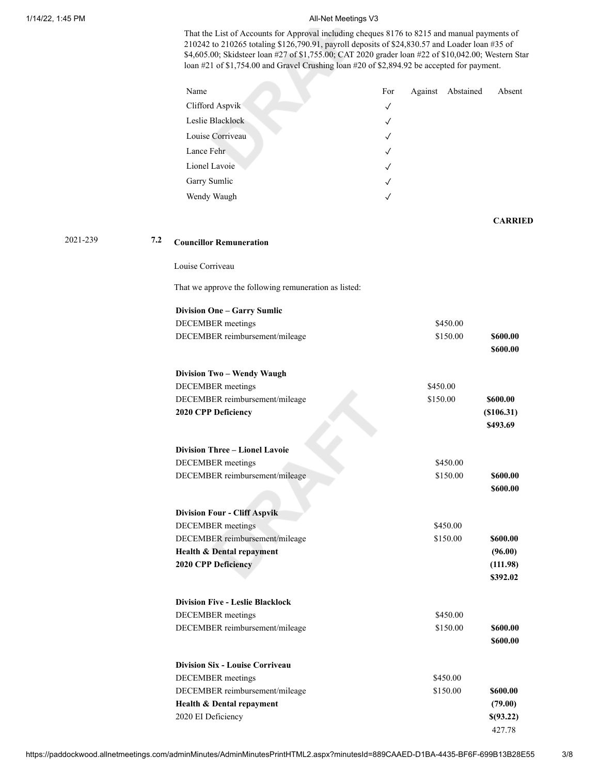#### 1/14/22, 1:45 PM **All-Net Meetings V3**

That the List of Accounts for Approval including cheques 8176 to 8215 and manual payments of 210242 to 210265 totaling \$126,790.91, payroll deposits of \$24,830.57 and Loader loan #35 of \$4,605.00; Skidsteer loan #27 of \$1,755.00; CAT 2020 grader loan #22 of \$10,042.00; Western Star loan #21 of \$1,754.00 and Gravel Crushing loan #20 of \$2,894.92 be accepted for payment.

| Name             | For          | Against Abstained | Absent |
|------------------|--------------|-------------------|--------|
| Clifford Aspvik  | $\sqrt{ }$   |                   |        |
| Leslie Blacklock | $\sqrt{}$    |                   |        |
| Louise Corriveau | $\checkmark$ |                   |        |
| Lance Fehr       | $\checkmark$ |                   |        |
| Lionel Lavoie    | $\sqrt{ }$   |                   |        |
| Garry Sumlic     | $\sqrt{}$    |                   |        |
| Wendy Waugh      | $\checkmark$ |                   |        |

**CARRIED**

# 2021-239 **7.2 Councillor Remuneration**

Louise Corriveau

That we approve the following remuneration as listed:

| <b>Division One - Garry Sumlic</b>      |          |            |
|-----------------------------------------|----------|------------|
| <b>DECEMBER</b> meetings                | \$450.00 |            |
| DECEMBER reimbursement/mileage          | \$150.00 | \$600.00   |
|                                         |          | \$600.00   |
| Division Two - Wendy Waugh              |          |            |
| <b>DECEMBER</b> meetings                | \$450.00 |            |
| DECEMBER reimbursement/mileage          | \$150.00 | \$600.00   |
| 2020 CPP Deficiency                     |          | (\$106.31) |
|                                         |          | \$493.69   |
| <b>Division Three - Lionel Lavoie</b>   |          |            |
| <b>DECEMBER</b> meetings                | \$450.00 |            |
| DECEMBER reimbursement/mileage          | \$150.00 | \$600.00   |
|                                         |          | \$600.00   |
|                                         |          |            |
| <b>Division Four - Cliff Aspvik</b>     |          |            |
| <b>DECEMBER</b> meetings                | \$450.00 |            |
| DECEMBER reimbursement/mileage          | \$150.00 | \$600.00   |
| Health & Dental repayment               |          | (96.00)    |
| 2020 CPP Deficiency                     |          | (111.98)   |
|                                         |          | \$392.02   |
| <b>Division Five - Leslie Blacklock</b> |          |            |
| <b>DECEMBER</b> meetings                | \$450.00 |            |
| DECEMBER reimbursement/mileage          | \$150.00 | \$600.00   |
|                                         |          | \$600.00   |
| <b>Division Six - Louise Corriveau</b>  |          |            |
| <b>DECEMBER</b> meetings                | \$450.00 |            |
| DECEMBER reimbursement/mileage          | \$150.00 | \$600.00   |
| Health & Dental repayment               |          | (79.00)    |
| 2020 EI Deficiency                      |          | \$(93.22)  |
|                                         |          | 427.78     |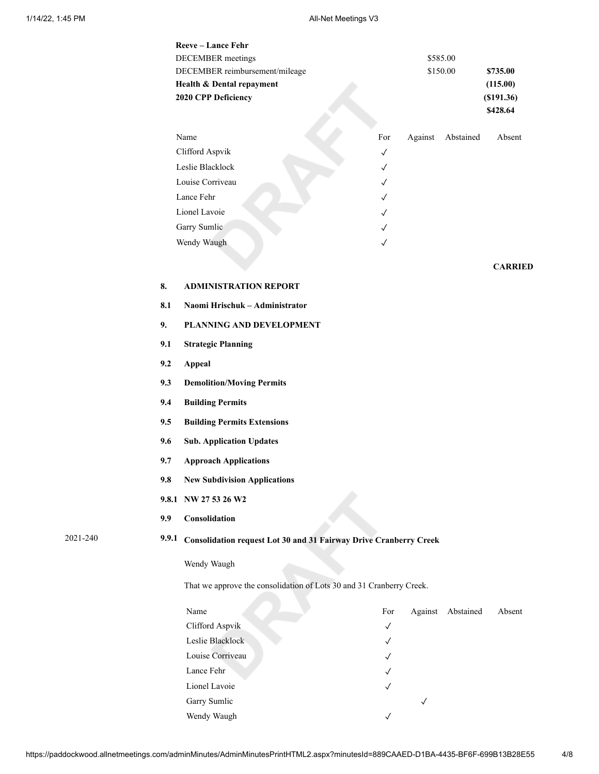# 1/14/22, 1:45 PM **All-Net Meetings V3**

|          |       | Reeve-Lance Fehr                                                     |              |              |           |                        |  |  |
|----------|-------|----------------------------------------------------------------------|--------------|--------------|-----------|------------------------|--|--|
|          |       | <b>DECEMBER</b> meetings                                             |              |              | \$585.00  |                        |  |  |
|          |       | DECEMBER reimbursement/mileage                                       |              |              | \$150.00  | \$735.00               |  |  |
|          |       | Health & Dental repayment<br>2020 CPP Deficiency                     |              |              |           | (115.00)<br>(\$191.36) |  |  |
|          |       |                                                                      |              |              |           | \$428.64               |  |  |
|          |       | Name                                                                 | For          | Against      | Abstained | Absent                 |  |  |
|          |       | Clifford Aspvik                                                      | $\checkmark$ |              |           |                        |  |  |
|          |       | Leslie Blacklock                                                     | $\checkmark$ |              |           |                        |  |  |
|          |       | Louise Corriveau                                                     | $\checkmark$ |              |           |                        |  |  |
|          |       | Lance Fehr                                                           | $\checkmark$ |              |           |                        |  |  |
|          |       | Lionel Lavoie                                                        | $\checkmark$ |              |           |                        |  |  |
|          |       | Garry Sumlic                                                         | $\checkmark$ |              |           |                        |  |  |
|          |       | Wendy Waugh                                                          | $\checkmark$ |              |           |                        |  |  |
|          |       |                                                                      |              |              |           | <b>CARRIED</b>         |  |  |
|          | 8.    | <b>ADMINISTRATION REPORT</b>                                         |              |              |           |                        |  |  |
|          | 8.1   | Naomi Hrischuk - Administrator                                       |              |              |           |                        |  |  |
|          | 9.    | PLANNING AND DEVELOPMENT                                             |              |              |           |                        |  |  |
|          | 9.1   | <b>Strategic Planning</b>                                            |              |              |           |                        |  |  |
|          | 9.2   | <b>Appeal</b>                                                        |              |              |           |                        |  |  |
|          | 9.3   | <b>Demolition/Moving Permits</b>                                     |              |              |           |                        |  |  |
|          | 9.4   | <b>Building Permits</b>                                              |              |              |           |                        |  |  |
|          | 9.5   | <b>Building Permits Extensions</b>                                   |              |              |           |                        |  |  |
|          | 9.6   | <b>Sub. Application Updates</b>                                      |              |              |           |                        |  |  |
|          | 9.7   | <b>Approach Applications</b>                                         |              |              |           |                        |  |  |
|          | 9.8   | <b>New Subdivision Applications</b>                                  |              |              |           |                        |  |  |
|          |       | 9.8.1 NW 27 53 26 W2                                                 |              |              |           |                        |  |  |
|          | 9.9   | Consolidation                                                        |              |              |           |                        |  |  |
| 2021-240 | 9.9.1 | Consolidation request Lot 30 and 31 Fairway Drive Cranberry Creek    |              |              |           |                        |  |  |
|          |       | Wendy Waugh                                                          |              |              |           |                        |  |  |
|          |       | That we approve the consolidation of Lots 30 and 31 Cranberry Creek. |              |              |           |                        |  |  |
|          |       | Name                                                                 | For          | Against      | Abstained | Absent                 |  |  |
|          |       | Clifford Aspvik                                                      | $\checkmark$ |              |           |                        |  |  |
|          |       | Leslie Blacklock                                                     | $\checkmark$ |              |           |                        |  |  |
|          |       | Louise Corriveau                                                     | $\checkmark$ |              |           |                        |  |  |
|          |       | Lance Fehr                                                           | $\checkmark$ |              |           |                        |  |  |
|          |       | Lionel Lavoie                                                        | $\checkmark$ |              |           |                        |  |  |
|          |       | Garry Sumlic                                                         |              | $\checkmark$ |           |                        |  |  |

https://paddockwood.allnetmeetings.com/adminMinutes/AdminMinutesPrintHTML2.aspx?minutesId=889CAAED-D1BA-4435-BF6F-699B13B28E55 4/8

Wendy Waugh $\hspace{1.6cm} \surd$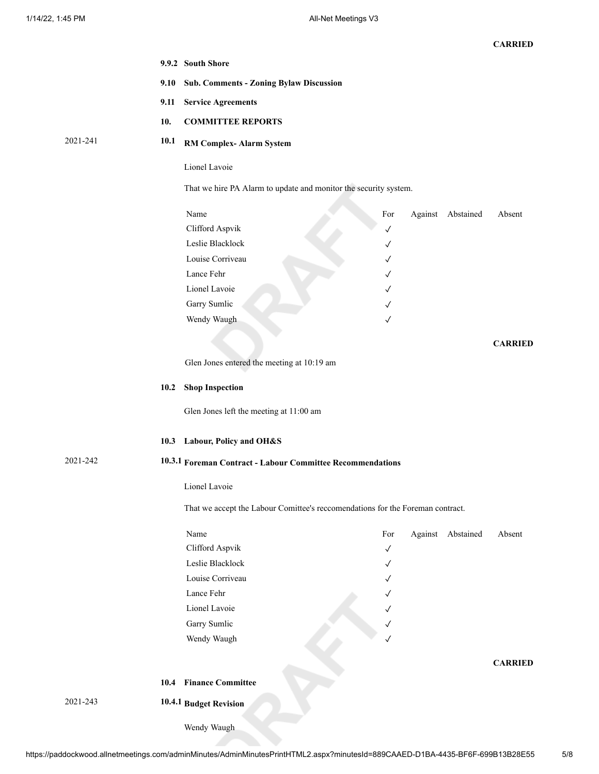|          |      | 9.9.2 South Shore                                                              |              |         |           |                |
|----------|------|--------------------------------------------------------------------------------|--------------|---------|-----------|----------------|
|          | 9.10 | <b>Sub. Comments - Zoning Bylaw Discussion</b>                                 |              |         |           |                |
|          | 9.11 | <b>Service Agreements</b>                                                      |              |         |           |                |
|          | 10.  | <b>COMMITTEE REPORTS</b>                                                       |              |         |           |                |
| 2021-241 | 10.1 | <b>RM Complex-Alarm System</b>                                                 |              |         |           |                |
|          |      | Lionel Lavoie                                                                  |              |         |           |                |
|          |      | That we hire PA Alarm to update and monitor the security system.               |              |         |           |                |
|          |      | Name                                                                           | For          | Against | Abstained | Absent         |
|          |      | Clifford Aspvik                                                                | $\checkmark$ |         |           |                |
|          |      | Leslie Blacklock                                                               | ✓            |         |           |                |
|          |      | Louise Corriveau                                                               | ✓            |         |           |                |
|          |      | Lance Fehr                                                                     | ✓            |         |           |                |
|          |      | Lionel Lavoie                                                                  | ✓            |         |           |                |
|          |      | Garry Sumlic                                                                   | ✓            |         |           |                |
|          |      | Wendy Waugh                                                                    | $\checkmark$ |         |           |                |
|          |      |                                                                                |              |         |           |                |
|          |      |                                                                                |              |         |           | <b>CARRIED</b> |
|          |      | Glen Jones entered the meeting at 10:19 am                                     |              |         |           |                |
|          | 10.2 | <b>Shop Inspection</b>                                                         |              |         |           |                |
|          |      | Glen Jones left the meeting at 11:00 am                                        |              |         |           |                |
|          |      | 10.3 Labour, Policy and OH&S                                                   |              |         |           |                |
| 2021-242 |      | 10.3.1 Foreman Contract - Labour Committee Recommendations                     |              |         |           |                |
|          |      | Lionel Lavoie                                                                  |              |         |           |                |
|          |      | That we accept the Labour Comittee's reccomendations for the Foreman contract. |              |         |           |                |
|          |      | Name                                                                           | For          | Against | Abstained | Absent         |
|          |      | Clifford Aspvik                                                                | $\checkmark$ |         |           |                |
|          |      | Leslie Blacklock                                                               | $\checkmark$ |         |           |                |
|          |      | Louise Corriveau                                                               | ✓            |         |           |                |
|          |      | Lance Fehr                                                                     | ✓            |         |           |                |
|          |      | Lionel Lavoie                                                                  | ✓            |         |           |                |
|          |      | Garry Sumlic                                                                   | ✓            |         |           |                |
|          |      | Wendy Waugh                                                                    | ✓            |         |           |                |
|          |      |                                                                                |              |         |           | <b>CARRIED</b> |
|          | 10.4 | <b>Finance Committee</b>                                                       |              |         |           |                |
| 2021-243 |      | 10.4.1 Budget Revision                                                         |              |         |           |                |
|          |      | Wendy Waugh                                                                    |              |         |           |                |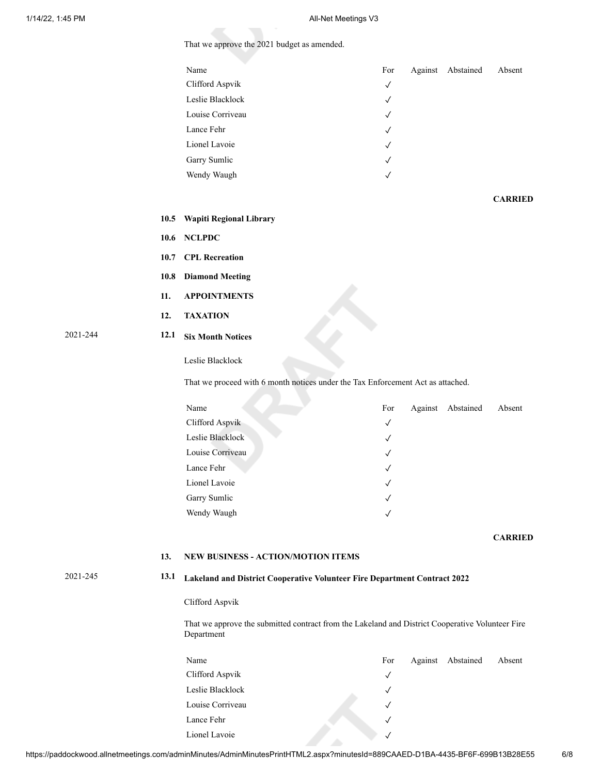2021-244 **12.1 Six Month Notices**

That we approve the 2021 budget as amended.

|          |      | . .                                                                                                            |              |                   |                |
|----------|------|----------------------------------------------------------------------------------------------------------------|--------------|-------------------|----------------|
|          |      | Name                                                                                                           | For          | Against Abstained | Absent         |
|          |      | Clifford Aspvik                                                                                                | $\checkmark$ |                   |                |
|          |      | Leslie Blacklock                                                                                               | $\checkmark$ |                   |                |
|          |      | Louise Corriveau                                                                                               | $\checkmark$ |                   |                |
|          |      | Lance Fehr                                                                                                     | $\checkmark$ |                   |                |
|          |      | Lionel Lavoie                                                                                                  | $\checkmark$ |                   |                |
|          |      | Garry Sumlic                                                                                                   | $\checkmark$ |                   |                |
|          |      | Wendy Waugh                                                                                                    | $\checkmark$ |                   |                |
|          |      |                                                                                                                |              |                   |                |
|          |      |                                                                                                                |              |                   | <b>CARRIED</b> |
|          | 10.5 | <b>Wapiti Regional Library</b>                                                                                 |              |                   |                |
|          | 10.6 | <b>NCLPDC</b>                                                                                                  |              |                   |                |
|          | 10.7 | <b>CPL Recreation</b>                                                                                          |              |                   |                |
|          | 10.8 | <b>Diamond Meeting</b>                                                                                         |              |                   |                |
|          | 11.  | <b>APPOINTMENTS</b>                                                                                            |              |                   |                |
|          | 12.  | <b>TAXATION</b>                                                                                                |              |                   |                |
| 2021-244 | 12.1 | <b>Six Month Notices</b>                                                                                       |              |                   |                |
|          |      | Leslie Blacklock                                                                                               |              |                   |                |
|          |      | That we proceed with 6 month notices under the Tax Enforcement Act as attached.                                |              |                   |                |
|          |      | Name                                                                                                           | For          | Against Abstained | Absent         |
|          |      | Clifford Aspvik                                                                                                | $\checkmark$ |                   |                |
|          |      | Leslie Blacklock                                                                                               | $\checkmark$ |                   |                |
|          |      | Louise Corriveau                                                                                               | $\checkmark$ |                   |                |
|          |      | Lance Fehr                                                                                                     | $\checkmark$ |                   |                |
|          |      | Lionel Lavoie                                                                                                  | ✓            |                   |                |
|          |      | Garry Sumlic                                                                                                   | $\checkmark$ |                   |                |
|          |      | Wendy Waugh                                                                                                    | ✓            |                   |                |
|          |      |                                                                                                                |              |                   | <b>CARRIED</b> |
|          |      |                                                                                                                |              |                   |                |
|          | 13.  | <b>NEW BUSINESS - ACTION/MOTION ITEMS</b>                                                                      |              |                   |                |
| 2021-245 | 13.1 | Lakeland and District Cooperative Volunteer Fire Department Contract 2022                                      |              |                   |                |
|          |      | Clifford Aspvik                                                                                                |              |                   |                |
|          |      | That we approve the submitted contract from the Lakeland and District Cooperative Volunteer Fire<br>Department |              |                   |                |
|          |      | Name                                                                                                           | For          | Against Abstained | Absent         |
|          |      | Clifford Aspvik                                                                                                | $\checkmark$ |                   |                |
|          |      | Leslie Blacklock                                                                                               | $\checkmark$ |                   |                |
|          |      | Louise Corriveau                                                                                               | $\checkmark$ |                   |                |
|          |      | Lance Fehr                                                                                                     | $\checkmark$ |                   |                |

Lionel Lavoie ✓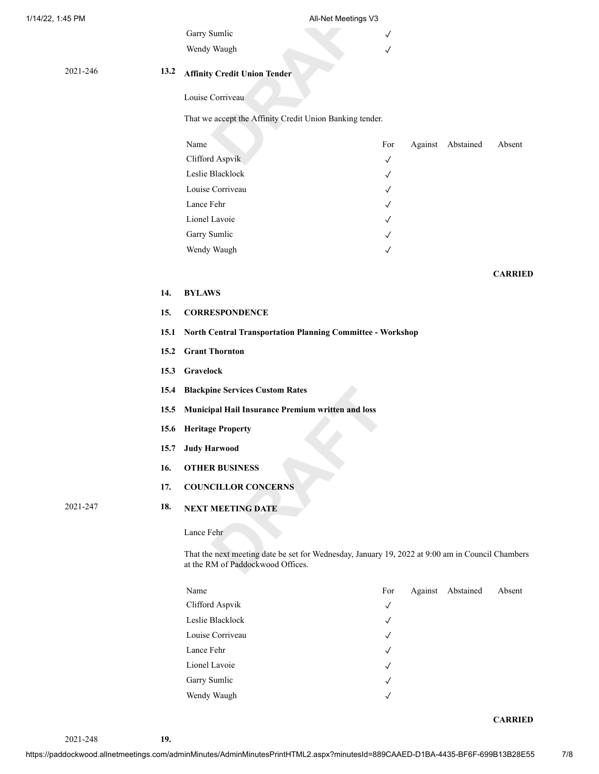#### 1/14/22, 1:45 PM All-Net Meetings V3

Wendy Waugh ✓

# 2021-246 **13.2 Affinity Credit Union Tender**

Louise Corriveau

# That we accept the Affinity Credit Union Banking tender.

Garry Sumlic √

| For          |  | Absent            |
|--------------|--|-------------------|
| $\checkmark$ |  |                   |
| $\checkmark$ |  |                   |
| $\sqrt{ }$   |  |                   |
| $\checkmark$ |  |                   |
| $\sqrt{ }$   |  |                   |
| $\sqrt{ }$   |  |                   |
| $\checkmark$ |  |                   |
|              |  | Against Abstained |

## **CARRIED**

#### **14. BYLAWS**

## **15. CORRESPONDENCE**

- **15.1 North Central Transportation Planning Committee Workshop**
- **15.2 Grant Thornton**
- **15.3 Gravelock**
- **15.4 Blackpine Services Custom Rates**
- **15.5 Municipal Hail Insurance Premium written and loss**
- **15.6 Heritage Property**
- **15.7 Judy Harwood**
- **16. OTHER BUSINESS**
- **17. COUNCILLOR CONCERNS**

# 2021-247 **18. NEXT MEETING DATE**

Lance Fehr

That the next meeting date be set for Wednesday, January 19, 2022 at 9:00 am in Council Chambers at the RM of Paddockwood Offices.

| Name             | For          | Against Abstained | Absent |
|------------------|--------------|-------------------|--------|
| Clifford Aspvik  | $\checkmark$ |                   |        |
| Leslie Blacklock | $\sqrt{ }$   |                   |        |
| Louise Corriveau | $\sqrt{ }$   |                   |        |
| Lance Fehr       | $\sqrt{ }$   |                   |        |
| Lionel Lavoie    | $\sqrt{ }$   |                   |        |
| Garry Sumlic     | $\sqrt{ }$   |                   |        |
| Wendy Waugh      | $\sqrt{ }$   |                   |        |

#### **CARRIED**